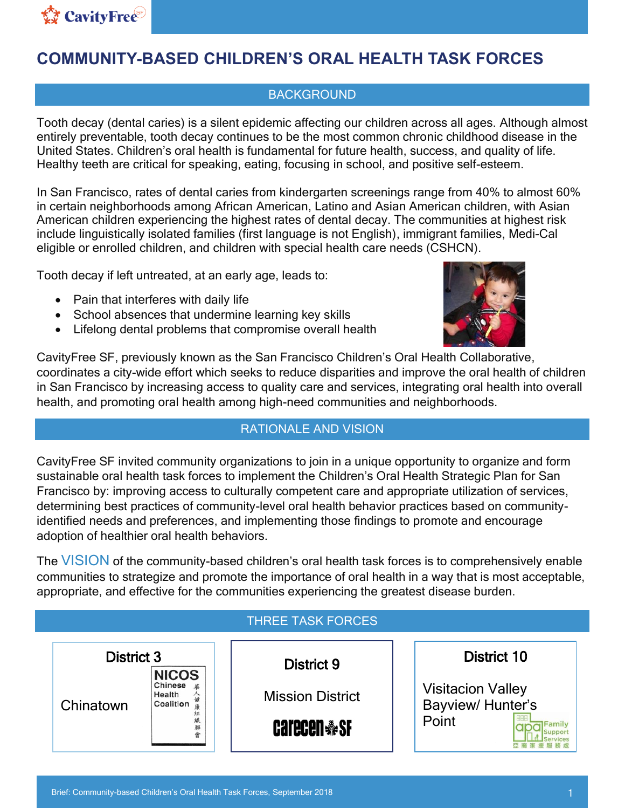

# **COMMUNITY-BASED CHILDREN'S ORAL HEALTH TASK FORCES**

## **BACKGROUND**

Tooth decay (dental caries) is a silent epidemic affecting our children across all ages. Although almost entirely preventable, tooth decay continues to be the most common chronic childhood disease in the United States. Children's oral health is fundamental for future health, success, and quality of life. Healthy teeth are critical for speaking, eating, focusing in school, and positive self-esteem.

In San Francisco, rates of dental caries from kindergarten screenings range from 40% to almost 60% in certain neighborhoods among African American, Latino and Asian American children, with Asian American children experiencing the highest rates of dental decay. The communities at highest risk include linguistically isolated families (first language is not English), immigrant families, Medi-Cal eligible or enrolled children, and children with special health care needs (CSHCN).

Tooth decay if left untreated, at an early age, leads to:

- Pain that interferes with daily life
- School absences that undermine learning key skills
- Lifelong dental problems that compromise overall health



CavityFree SF, previously known as the San Francisco Children's Oral Health Collaborative, coordinates a city-wide effort which seeks to reduce disparities and improve the oral health of children in San Francisco by increasing access to quality care and services, integrating oral health into overall health, and promoting oral health among high-need communities and neighborhoods.

## RATIONALE AND VISION

CavityFree SF invited community organizations to join in a unique opportunity to organize and form sustainable oral health task forces to implement the Children's Oral Health Strategic Plan for San Francisco by: improving access to culturally competent care and appropriate utilization of services, determining best practices of community-level oral health behavior practices based on communityidentified needs and preferences, and implementing those findings to promote and encourage adoption of healthier oral health behaviors.

The VISION of the community-based children's oral health task forces is to comprehensively enable communities to strategize and promote the importance of oral health in a way that is most acceptable, appropriate, and effective for the communities experiencing the greatest disease burden.

## THREE TASK FORCES

| <b>District 3</b><br><b>NICOS</b> |                                | District 9              | District 10                                  |
|-----------------------------------|--------------------------------|-------------------------|----------------------------------------------|
| Chinatown                         | Chinese<br>Health<br>Coalition | <b>Mission District</b> | <b>Visitacion Valley</b><br>Bayview/Hunter's |
|                                   | 聯                              | <b>Carecen &amp; SF</b> | Point                                        |